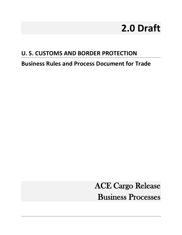# **2.0 Draft**

## **U. S. CUSTOMS AND BORDER PROTECTION**

**Business Rules and Process Document for Trade** 

ACE Cargo Release Business Processes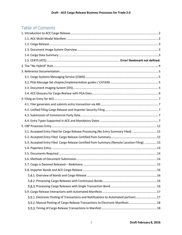## Table of Contents

| 5.1. Accepted Entry Filed for Cargo Release Processing (No Entry Summary Filed)  12         |  |
|---------------------------------------------------------------------------------------------|--|
|                                                                                             |  |
| 5.3. Accepted Entry Filed Cargo Release Certified from Summary (Remote Location Filing)  13 |  |
|                                                                                             |  |
|                                                                                             |  |
|                                                                                             |  |
|                                                                                             |  |
|                                                                                             |  |
|                                                                                             |  |
|                                                                                             |  |
|                                                                                             |  |
|                                                                                             |  |
| 5.9.1. Electronic Posting of Transactions and Notifications to Automated partners  17       |  |
| 5.9.2. Manual Posting of Cargo Release Transactions to Electronic Manifests 18              |  |
|                                                                                             |  |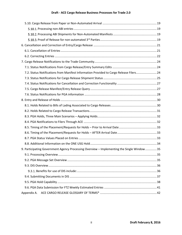## **Draft - ACE Cargo Release Business Processes for Trade 2.0**

| 7.2. Status Notifications from Manifest Information Provided to Cargo Release Filers 24    |  |
|--------------------------------------------------------------------------------------------|--|
|                                                                                            |  |
|                                                                                            |  |
|                                                                                            |  |
|                                                                                            |  |
|                                                                                            |  |
|                                                                                            |  |
|                                                                                            |  |
|                                                                                            |  |
|                                                                                            |  |
|                                                                                            |  |
|                                                                                            |  |
|                                                                                            |  |
|                                                                                            |  |
| 9. Participating Government Agency Processing Overview - Implementing the Single Window 35 |  |
|                                                                                            |  |
|                                                                                            |  |
|                                                                                            |  |
|                                                                                            |  |
|                                                                                            |  |
|                                                                                            |  |
|                                                                                            |  |
| Appendix A.                                                                                |  |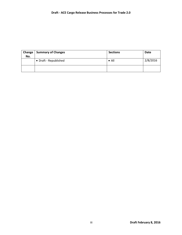| Change<br>No. | <b>Summary of Changes</b> | <b>Sections</b> | Date     |
|---------------|---------------------------|-----------------|----------|
|               | • Draft - Republished     | $\bullet$ All   | 2/8/2016 |
|               |                           |                 |          |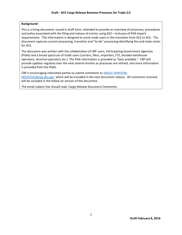#### **Background:**

This is a living document, issued in draft form, intended to provide an overview of processes, procedures and policy associated with the filing and release of entries using ACE—inclusive of PGA import requirements. This information is designed to assist trade users in the transition from ACS to ACE. The document captures current processing, transition and "to-be" processing identifying the end-state vision for ACE.

The document was written with the collaboration of CBP users, Participating Government Agencies (PGAs) and a broad spectrum of trade users (carriers, filers, importers, FTZ, bonded warehouse operators, terminal operators etc.). The PGA information is provided as "best available." CBP will provide updates regularly over the next several months as processes are refined, and more information is provided from the PGAs.

CBP is encouraging interested parties to submit comments to [SINGLE-WINDOW-](mailto:SINGLE-WINDOW-INITIATIVE@cbp.dhs.gov)[INITIATIVE@cbp.dhs.gov](mailto:SINGLE-WINDOW-INITIATIVE@cbp.dhs.gov) which will be included in the next document release. All comments received will be included in the follow on version of the document.

The email subject line should read: Cargo Release Document Comments.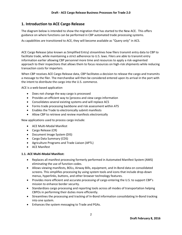## <span id="page-5-0"></span>**1. Introduction to ACE Cargo Release**

The diagram below is intended to show the migration that has started to the New ACE. This offers guidance on where functions can be performed in CBP automated trade processing systems.

As capabilities are transitioned to ACE, they will become available as "Query only" in ACS.

ACE Cargo Release (also known as Simplified Entry) streamlines how filers transmit entry data to CBP to facilitate trade, while maintaining a strict adherence to U.S. laws. Filers are able to transmit entry information earlier allowing CBP personnel more time and resources to apply a risk-segmented approach to their inspections that allows them to focus resources on high-risk shipments while reducing transaction costs for importers.

When CBP receives ACE Cargo Release data, CBP facilitates a decision to release the cargo and transmits a message to the filer. The merchandise will then be considered entered upon its arrival in the port with the intent to distribute the cargo into the U.S. commerce.

ACE is a web-based application

- Does not change the way cargo is processed
- Provides an efficient way to [process and view cargo information
- Consolidates several existing systems and will replace ACS
- Forms trade processing backbone and risk assessment within ATS
- Enables the Trade to electronically submit manifests
- Allow CBP to retrieve and review manifests electronically

New applications used to process cargo include:

- ACE Multi-Modal Manifest
- Cargo Release (CR)
- Document Image System (DIS)
- Cargo Data Summary (CDS)
- Agriculture Programs and Trade Liaison (APTL)
- ACE Manifest

#### <span id="page-5-1"></span>**1.1. ACE Multi-Modal Manifest:**

- Replaces all manifest processing formerly performed in Automated Manifest System (AMS) eliminating the use of function codes.
- Allows viewing manifests, BOLs, Airway Bills, equipment, and In-Bond data on consolidated screens. This simplifies processing by using system tools and icons that include drop-down menus, hyperlinks, buttons, and other browser technology features.
- Provides more efficient and accurate processing of cargo entering the U.S. to support CBP's mission to enhance border security.
- Standardizes cargo processing and reporting tools across all modes of transportation helping CBPOs in performing their duties more efficiently.
- Streamlines the processing and tracking of In-Bond information consolidating In-Bond tracking into one system.
- Enhances the system messaging to Trade and PGAs.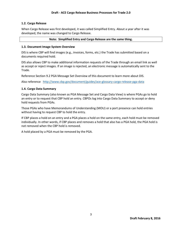#### <span id="page-6-0"></span>**1.2. Cargo Release**

When Cargo Release was first developed, it was called Simplified Entry. About a year after it was developed, the name was changed to Cargo Release.

#### **Note: Simplified Entry and Cargo Release are the same thing.**

#### <span id="page-6-1"></span>**1.3. Document Image System Overview**

DIS is where CBP will find images (e.g., invoices, forms, etc.) the Trade has submitted based on a documents required hold.

DIS also allows CBP to make additional information requests of the Trade through an email link as well as accept or reject images. If an image is rejected, an electronic message is automatically sent to the Trade.

Reference Sectio[n 9.2](#page-38-2) [PGA Message Set Overview](#page-38-2) of this document to learn more about DIS.

Also reference <http://www.cbp.gov/document/guides/ace-glossary-cargo-release-pga-data>

#### <span id="page-6-2"></span>**1.4. Cargo Data Summary**

Cargo Data Summary (also known as PGA Message Set and Cargo Data View) is where PGAs go to hold an entry or to request that CBP hold an entry. CBPOs log into Cargo Data Summary to accept or deny hold requests from PGAs.

Those PGAs who have Memorandums of Understanding (MOU) or a port presence can hold entries without having to request CBP to hold the entry.

If CBP places a hold on an entry and a PGA places a hold on the same entry, each hold must be removed individually. In other words, if CBP places and removes a hold that also has a PGA hold, the PGA hold is not removed when the CBP hold is removed.

A hold placed by a PGA must be removed by the PGA.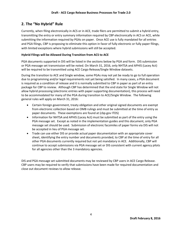## <span id="page-7-0"></span>**2. The "No Hybrid" Rule**

Currently, when filing electronically in ACS or in ACE, trade filers are permitted to submit a hybrid entry, transmitting the entry or entry summary information required by CBP electronically in ACS or ACE, while submitting the information required by PGAs on paper. Once ACE use is fully mandated for all entries and PGA filings, CBP is proposing to eliminate this option in favor of fully electronic or fully paper filings, with limited exceptions where hybrid submissions will still be accepted.

#### **Hybrid Filings will be Allowed During Transition from ACS to ACE**

PGA documents supported in DIS will be listed in the sections below by PGA and form. DIS submission or PGA message set transmission will be noted. On March 31, 2016, only NHTSA and APHIS (Lacey Act) will be required to be transmitted using ACE Cargo Release/Single Window datasets.

During the transition to ACE and Single window, some PGAs may not yet be ready to go to full operation due to programming and/or legal requirements not yet being satisfied. In many cases, a PGA document is required as a condition of release and it is normally submitted to CBP in paper as part of an entry package for CBP to review. Although CBP has determined that the end state for Single Window will not allow hybrid processing (electronic entries with paper supporting documentation), this process will need to be accommodated for many of the PGA during transition to ACE/Single Window. The following general rules will apply on March 31, 2016:

- Certain foreign government, treaty obligation and other original signed documents are exempt from electronic collection based on OMB rulings and must be submitted at the time of entry as paper documents. These exemptions are found at (cbp.gov ITDS)
- Information for NHTSA and APHIS (Lacey Act) must be submitted as part of the entry using the PGA message set. Except as noted in the implementation guides and this document, only PGA message set should be used. Submission of electronic facsimiles of paper forms via DIS will not be accepted in lieu of PGA message set.
- Trade can use either DIS or provide actual paper documentation with an appropriate cover sheet, identifying the entry number and documents provided, to CBP at the time of entry for all other PGA documents currently required but not yet mandatory in ACE. Additionally, CBP will continue to accept submissions via PGA message set or DIS consistent with current agency pilots for all agencies other than the 3 mandatory agencies.

DIS and PGA message set submitted documents may be reviewed by CBP users in ACE Cargo Release. CBP users may be required to verify that submissions have been made for required documentation and close out document reviews to allow release.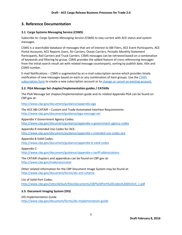## <span id="page-8-0"></span>**3. Reference Documentation**

#### <span id="page-8-1"></span>**3.1. Cargo Systems Messaging Service (CSMS)**

Subscribe to: *Cargo Systems Messaging Service (CSMS)* to stay current with ACE status and system messages.

CSMS is a searchable database of messages that are of interest to ABI Filers, ACE Event Participants, ACE Portal Accounts, ACE Reports Users, Air Carriers, Ocean Carriers, Periodic Monthly Statement Participants, Rail Carriers and Truck Carriers. CSMS messages can be retrieved based on a combination of keywords and filtering by group. CSMS provides the added feature of cross referencing messages from the initial search result set with related message counterparts, sorting by publish date, title and CSMS number.

E-mail Notifications – CSMS is augmented by an e-mail subscription service which provides timely notification of new messages based on each or any combination of item groups. Use the [CSMS](http://service.govdelivery.com/service/multi_subscribe.html?code=USDHSCBP&custom_id=938&origin=https://apps.cbp.gov/csms)  [subscription form](http://service.govdelivery.com/service/multi_subscribe.html?code=USDHSCBP&custom_id=938&origin=https://apps.cbp.gov/csms) to create a new subscription account or to [change or cancel an existing account.](http://service.govdelivery.com/service/multi_subscribe.html?code=USDHSCBP&custom_id=938&origin=https://apps.cbp.gov/csms)

#### <span id="page-8-2"></span>**3.2. PGA Message Set chapter/implementation guides / CATAIRs**

The PGA Message Set chapter/implementation guide and its related Appendix PGA can be found on CBP.gov at:

#### <http://www.cbp.gov/document/guidance/appendix-pga>

The ACE ABI CATAIR – Custom and Trade Automated Interface Requirements: <http://www.cbp.gov/document/guidance/pga-message-set>

#### Appendix V Government Agency Codes:

<http://www.cbp.gov/document/guidance/appendix-v-government-agency-codes>

#### Appendix R Intended Use Codes for ACE:

<http://www.cbp.gov/document/guidance/appendix-r-intended-use-codes-ace>

#### Appendix B Valid Codes:

<http://www.cbp.gov/document/guidance/appendix-b-valid-codes>

#### Appendix C:

<http://www.cbp.gov/document/guidance/appendix-c-tariff-abbreviations>

The CATAIR chapters and appendices can be found on CBP.gov at: <http://www.cbp.gov/trade/ace/catair>

Other related information for the CBP Document Image System may be found at: <http://www.cbp.gov/document/forms/dis-xml-schema>

List of Valid Port Codes: [http://www.cbp.gov/sites/default/files/documents/CBP%20Port%20Codes%20041014\\_1.pdf](http://www.cbp.gov/sites/default/files/documents/CBP%20Port%20Codes%20041014_1.pdf)

#### <span id="page-8-3"></span>**3.3. Document Imaging System (DIS)**

DIS Implementation Guide <http://www.cbp.gov/document/forms/dis-implementation-guide>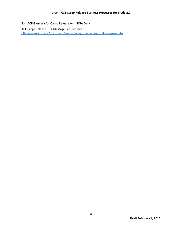#### <span id="page-9-0"></span>**3.4. ACE Glossary for Cargo Release with PGA Data**

ACE Cargo Release PGA Message Set Glossary <http://www.cbp.gov/document/guides/ace-glossary-cargo-release-pga-data>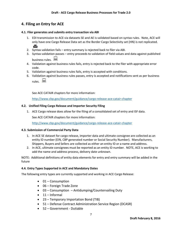## <span id="page-10-0"></span>**4. Filing an Entry for ACE**

#### <span id="page-10-1"></span>**4.1. Filer generates and submits entry transaction via ABI**

- 1. EDI transmission to ACE via datasets SE and AE is validated based on syntax rules. Note, ACE will only have one Cargo Release Data set as the Border Cargo Selectivity set (HN) is not replicated. 血
- 2. Syntax validation fails entry summary is rejected back to filer via ABI.
- 3. Syntax validation passes entry proceeds to validation of field values and data against published business rules.
- 4. Validation against business rules fails, entry is rejected back to the filer with appropriate error code.
- 5. Validation against business rules fails, entry is accepted with conditions.
- 6. Validation against business rules passes, entry is accepted and notifications sent as per business rules.

See ACE CATAIR chapters for more information:

<http://www.cbp.gov/document/guidance/cargo-release-ace-catair-chapter>

#### <span id="page-10-2"></span>**4.2. Unified Filing Cargo Release and Importer Security Filing**

1. ACE Cargo release does allow for the filing of a consolidated set of entry and ISF data.

See ACE CATAIR chapters for more information:

<http://www.cbp.gov/document/guidance/cargo-release-ace-catair-chapter>

#### <span id="page-10-3"></span>**4.3. Submission of Commercial Party Data**

- 1. In ACE SE dataset for cargo release, importer data and ultimate consignee are collected as an entity ID number (EIN, CBP generated number or Social Security Number). Manufacturers, Shippers, Buyers and Sellers are collected as either an entity ID or a name and address.
- 2. In ACE, ultimate consignees must be reported as an entity ID number. NOTE, ACE is working to add the name and address process, delivery date unknown.

NOTE: Additional definitions of entity data elements for entry and entry summary will be added in the future

#### <span id="page-10-4"></span>**4.4. Entry Types Supported in ACE and Mandatory Dates**

The following entry types are currently supported and working in ACE Cargo Release:

- $\bullet$  01 Consumption
- 06 Foreign Trade Zone
- 03 Consumption Antidumping/Countervailing Duty
- $\bullet$  11 Informal
- 23 Temporary Importation Bond (TIB)
- 51 Defense Contract Administration Service Region (DCASR)
- 52 Government Dutiable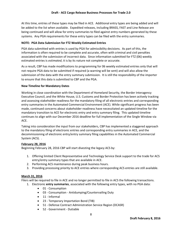At this time, entries of these types may be filed in ACE. Additional entry types are being added and will be added to the list when available. Expedited releases, including BRASS, FAST and Line Release are being continued and will allow for entry summaries to filed against entry numbers generated by these systems. Any PGA requirements for these entry types can be filed with the entry summaries.

#### **NOTE: PGA Data Submission for FTZ Weekly Estimated Entries**

PGA data submitted with entries is used by PGA for admissibility decisions. As part of this, the information is often required to be complete and accurate, often with criminal and civil penalties associated with the submission of incorrect data. Since information submitted for FTZ (06) weekly estimated entries is *estimated*, it is by its nature not complete or accurate.

As a result, CBP has made modifications to programming for 06 weekly estimated entries only that will not require PGA data to be submitted if required (a warning will be sent) and will also allow the submission of the data with the entry summary submission. It is still the responsibility of the importer to ensure that this data is submitted to CBP and the PGA.

#### **New Timeline for Mandatory Dates**

Working in close coordination with the Department of Homeland Security, the Border Interagency Executive Council, and the White House, U.S. Customs and Border Protection has been actively tracking and assessing stakeholder readiness for the mandatory filing of all electronic entries and corresponding entry summaries in the Automated Commercial Environment (ACE). While significant progress has been made, continued concerns about stakeholder readiness have necessitated an updated timeline for the mandatory transition to ACE for electronic entry and entry summary filing. This updated timeline continues to align with our December 2016 deadline for full implementation of the Single Window via ACE.

Taking into consideration the input from our stakeholders, CBP has implemented a staggered approach to the mandatory filing of electronic entries and corresponding entry summaries in ACE, and the decommissioning of electronic entry/entry summary filing capabilities in the Automated Commercial System (ACS). .

#### **February 28, 2016**

Beginning February 28, 2016 CBP will start divesting the legacy ACS by:

- 1. Offering limited Client Representative and Technology Service Desk support to the trade for ACS entry/entry summary types that are available in ACE.
- 2. Performing ACS maintenance during peak business hours.
- 3. Providing processing priority to ACE entries where corresponding ACS entries are still available.

#### **March 31, 2016**

Filers will be required to file in ACE and no longer permitted to file in ACS the following transactions.

- 1. Electronic **entry summaries**, associated with the following entry types, with no PGA data:
	- 01 Consumption
	- 03 Consumption Antidumping/Countervailing Duty
	- 11 Informal
	- 23 Temporary Importation Bond (TIB)
	- 51 Defense Contract Administration Service Region (DCASR)
	- 52 Government Dutiable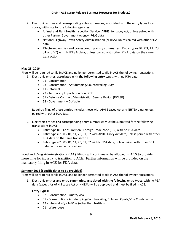- 2. Electronic entries **and** corresponding entry summaries, associated with the entry types listed above, with data for the following agencies:
	- Animal and Plant Health Inspection Service (APHIS) for Lacey Act, unless paired with other Partner Government Agency (PGA) data
	- National Highway Traffic Safety Administration (NHTSA), unless paired with other PGA data
	- Electronic entries and corresponding entry summaries (Entry types  $01, 03, 11, 23,$ 51 and 52) with NHTSA data, unless paired with other PGA data on the same transaction

#### **May 28, 2016**

Filers will be required to file in ACE and no longer permitted to file in ACS the following transactions:

- 1. Electronic **entries, associated with the following entry** types, with no PGA data:
	- 01 Consumption
	- 03 Consumption Antidumping/Countervailing Duty
	- $\bullet$  11 Informal
	- 23 Temporary Importation Bond (TIB)
	- 51 Defense Contract Administration Service Region (DCASR)
	- 52 Government Dutiable

Required filing of these entries includes those with APHIS Lacey Act and NHTSA data, unless paired with other PGA data.

- 2. Electronic entries **and** corresponding entry summaries must be submitted for the following transactions in ACE:
	- Entry type 06 Consumption Foreign Trade Zone (FTZ) with no PGA data
	- Entry types 01, 03, 06, 11, 23, 51, 52 with APHIS Lacey Act data, unless paired with other PGA data on the same transaction.
	- Entry types 01, 03, 06, 11, 23, 51, 52 with NHTSA data, unless paired with other PGA data on the same transaction.

Food and Drug Administration (FDA) filings will continue to be allowed in ACS to provide more time for industry to transition to ACE. Further information will be provided on the mandatory filing in ACE for FDA data.

#### **Summer 2016 (Specific dates to be provided)**

Filers will be required to file in ACE and no longer permitted to file in ACS the following transactions.

1. Electronic **entries and entry summaries, associated with the following entry** types, with no PGA data (except for APHIS Lacey Act or NHTSA) will be deployed and must be filed in ACE:

#### **Entry Types:**

- 02 Consumption Quota/Visa
- 07 Consumption Antidumping/Countervailing Duty and Quota/Visa Combination
- 12 Informal Quota/Visa (other than textiles)
- 21 Warehouse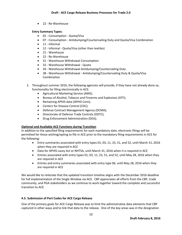• 22 - Re-Warehouse

#### **Entry Summary Types:**

- 02 Consumption Quota/Visa
- 07 Consumption Antidumping/Countervailing Duty and Quota/Visa Combination
- 11 Informal
- 12 Informal Quota/Visa (other than textiles)
- 21 Warehouse
- 22 Re-Warehouse
- 31 Warehouse Withdrawal Consumption
- 32 Warehouse Withdrawal Quota
- 34 Warehouse Withdrawal Antidumping/Countervailing Duty
- 38 Warehouse Withdrawal Antidumping/Countervailing Duty & Quota/Visa Combination
- 2. Throughout summer 2016, the following agencies will provide, if they have not already done so, functionality for filing electronically in ACE:
	- Agricultural Marketing Service (AMS);
	- Bureau of Alcohol, Tobacco and Firearms and Explosives (ATF);
	- Remaining APHIS data (APHIS Core);
	- Centers for Disease Control (CDC);
	- Defense Contract Management Agency (DCMA);
	- Directorate of Defense Trade Controls (DDTC);
	- Drug Enforcement Administration (DEA);

#### **Optional and Available ACE Functions during Transition**

In addition to the specified filing requirements for each mandatory date, electronic filings will be permitted for those wishing/opting to file in ACE prior to the mandatory filing requirements in ACE for the following:

- Entry summaries associated with entry types 01, 03, 11, 23, 51, and 52, until March 31, 2016 when they are required in ACE
- Data for APHIS Lacey Act or NHTSA, until March 31, 2016 when it is required in ACE
- Entries associated with entry types 01, 03, 11, 23, 51, and 52, until May 28, 2016 when they are required in ACE
- Entries and entry summaries associated with entry type 06, until May 28, 2016 when they are required in ACE

We would like to reiterate that the updated transition timeline aligns with the December 2016 deadline for full implementation of the Single Window via ACE. CBP appreciates all efforts from the CBP, trade community, and PGA stakeholders as we continue to work together toward the complete and successful transition to ACE.

## **4.5. Submission of Port Codes for ACE Cargo Release**

One of the primary goals for ACE Cargo Release was to limit the administrative data elements that CBP captured in other ways and to link that data to the release. One of the key areas was in the designation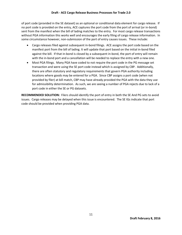of port code (provided in the SE dataset) as an optional or conditional data element for cargo release. If no port code is provided on the entry, ACE captures the port code from the port of arrival (or in-bond) sent from the manifest when the bill of lading matches to the entry. For most cargo release transactions without PGA information this works well and encourages the early filing of cargo release information. In some circumstance however, non-submission of the port of entry causes issues. These include:

- Cargo releases filed against subsequent in-bond filings. ACE assigns the port code based on the manifest port from the bill of lading. It will update that port based on the initial in-bond filed against the bill. If that in-bond is closed by a subsequent in-bond, the port of entry will remain with the in-bond port and a cancellation will be needed to replace the entry with a new one.
- Most PGA filings. Many PGA have coded to not require the port code in the PG message set transaction and were using the SE port code instead which is assigned by CBP. Additionally, there are often statutory and regulatory requirements that govern PGA authority including locations where goods may be entered for a PGA. Since CBP assigns a port code (when not provided by filer) at bill match, CBP may have already provided the PGA with the data they use for admissibility determination. As such, we are seeing a number of PGA rejects due to lack of a port code in either the SE or PG datasets.

**RECOMMENDED SOLUTION:** Filers should identify the port of entry in both the SE And PG sets to avoid issues. Cargo releases may be delayed when this issue is encountered. The SE IGs indicate that port code should be provided when providing PGA data.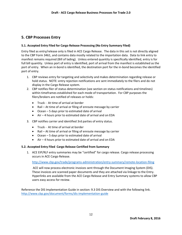## <span id="page-15-0"></span>**5. CBP Processes Entry**

#### <span id="page-15-1"></span>**5.1. Accepted Entry Filed for Cargo Release Processing (No Entry Summary Filed)**

Entry filed as entry/release only is filed in ACE Cargo Release. The data in this set is not directly aligned to the CBP Form 3461, and contains data mostly related to the importation data. Data to link entry to manifest remains required (Bill of lading). Unless entered quantity is specifically identified, entry is for full bill quantity. Unless port of entry is identified, port of arrival from the manifest is established as the port of entry. When an in-bond is identified, the destination port for the in-bond becomes the identified port of entry.

- 1. CBP reviews entry for targeting and selectivity and makes determination regarding release or hold status. NOTE: entry rejection notifications are sent immediately to the filers and do not display in the Cargo Release system.
- 2. CBP notifies filer of status determination (see section on status notifications and timelines) within timeframes established for each mode of transportation. For CBP purposes the filers/brokers are notified of releases or holds:
	- Truck At time of arrival at border
	- Rail At time of arrival or filing of enroute message by carrier
	- Ocean 5 days prior to estimated date of arrival
	- Air 4 hours prior to estimated date of arrival and on EDA
- 3. CBP notifies carrier and identified 3rd parties of entry status.
	- Truck At time of arrival at border
	- Rail At time of arrival or filing of enroute message by carrier
	- Ocean 5 days prior to estimated date of arrival
	- Air 4 hours prior to estimated date of arrival and on EDA

#### <span id="page-15-2"></span>**5.2. Accepted Entry Filed Cargo Release Certified from Summary**

1. ACE EIP/RLF entry summaries may be "certified" for cargo release. Cargo release processing occurs in ACE Cargo Release.

#### <http://www.cbp.gov/trade/programs-administration/entry-summary/remote-location-filing>

ACE will now process electronic invoices sent through the Document Imaging System (DIS). These invoices are scanned paper documents and they are attached via linkage to the Entry. Hyperlinks are available from the ACE Cargo Release and Entry Summary systems to allow CBP users easy access for review.

Reference the DIS Implementation Guide in section[: 9.3](#page-39-0) [DIS Overview](#page-39-0) and with the following link. <http://www.cbp.gov/document/forms/dis-implementation-guide>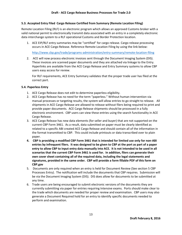#### <span id="page-16-0"></span>**5.3. Accepted Entry Filed Cargo Release Certified from Summary (Remote Location Filing)**

Remote Location Filing (RLF) is an electronic program which allows an approved Customs broker with a valid national permit to electronically transmit data associated with an entry in a completely electronic data interchange system to a RLF operational Customs and Border Protection location.

1. ACE EIP/RLF entry summaries may be "certified" for cargo release. Cargo release processing occurs in ACE Cargo Release. Reference Remote Location Filing by using the link below:

<http://www.cbp.gov/trade/programs-administration/entry-summary/remote-location-filing>

2. ACE will now process electronic invoices sent through the Document Imaging System (DIS). These invoices are scanned paper documents and they are attached via linkage to the Entry. Hyperlinks are available from the ACE Cargo Release and Entry Summary systems to allow CBP users easy access for review.

For RLF requirements, ACE Entry Summary validates that the proper trade user has filed at the correct port.

#### <span id="page-16-1"></span>**5.4. Paperless Entry**

- 1. ACE Cargo Release does not edit to determine paperless eligibility.
- 2. ACE Cargo Release has no need for the term "paperless." Without human intervention via manual processes or targeting results, the system will allow entries to go straight to release. All shipments in ACE Cargo Release are allowed to release without filers being required to print and provide paper documents. ACE Cargo Release shipments should be processed in a fully electronic environment. CBP users can view these entries using the search functionality in ACE Cargo Release.
- 3. ACE Cargo Release has new data elements (for seller and buyer) that are not supported on the current CBP Form 3461. As a result, data submitted on paper must be clearly identified as related to a specific ABI created ACE Cargo Release and should contain all of the information in the format transmitted to CBP. This could include printouts or data transcribed over to plain paper.
- **4. CBP is providing a modified CBP Form 3461 that is intended for limited use only for non-ABI entries by infrequent filers. It was designed to be given to CBP at the port as part of a paper entry to allow CBP to input entry data manually into ACE. It is not intended to be used in all scenarios that the current CBP Form 3461 is used for. In addition, filers can generate their own cover sheet containing all of the required data, including the legal statements and signatures, provided in the same order. CBP will provide a form fillable PDF of this form on CBP.gov**
- 5. Documents are only required when an entry is held for Document Review (See section [5](#page-15-0) [CBP](#page-15-0)  [Processes Entry\)](#page-15-0). The notification will include the documents that CBP requires. Submission will be via the Document Imaging System (DIS). DIS does allow for documents to be submitted at any time.
- 6. Trade users are being encouraged to submit electronic versions of the documents they are currently submitting via paper for entries requiring Intensive exams. Ports should make clear to the trade which documents are needed for proper review and examination. CBP users may also generate a Document Required hold for an entry to identify specific documents needed to perform and examination.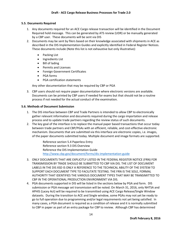#### <span id="page-17-0"></span>**5.5. Documents Required**

- 1. Any documents required for an ACE Cargo release transaction will be identified in the Document Required hold message. This can be generated by ATS review (UDR) or be manually generated by a CBP user. These documents will be sent via DIS
- 2. Documents may be sent by filers based on their knowledge associated with shipments in ACE as described in the DIS Implementation Guides and explicitly identified in Federal Register Notices. These documents include (Note this list is not exhaustive but only illustrative):
	- Packing List
	- Ingredients List
	- Bill of lading
	- Permits and Licenses
	- **•** Foreign Government Certificates
	- PGA forms
	- PGA certification statements

Any other documentation that may be required by CBP or PGA

3. CBP users should not require paper documentation where electronic versions are available. Documents can be printed by CBP users if needed for exams but that should not be a routine process if not needed for the actual conduct of the examination.

#### <span id="page-17-1"></span>**5.6. Methods of Document Submission**

- 1. The DIS interface between CBP and Trade Partners is intended to allow CBP to electronically gather relevant information and documents required during the cargo importation and release process and to update trade partners regarding the review status of such documents.
- 2. The key goal of the interface is to replace the manual paper based transactions that occur today between trade partners and CBP/PGAs with an efficient, reliable, and cost-effective electronic mechanism. Documents that are submitted via this interface are electronic copies, i.e. images, of the paper documents submitted today. Multiple document and image formats are supported.

Reference sectio[n 5.4](#page-16-1) [Paperless Entry](#page-16-1) Reference sectio[n 9.3](#page-39-0) [DIS Overview](#page-39-0) Reference the DIS Implementation Guide <http://www.cbp.gov/document/forms/dis-implementation-guide>

- 3. ONLY DOCUMENTS THAT ARE EXPLICITLY LISTED IN THE FEDERAL REGISTER NOTICE (FRN) FOR TRANSMISSION BY TRADE SHOULD BE SUBMITTED TO CBP VIA DIS. THE LIST OF DOCUMENT LABELS IN THE DIS XSD IS ONLY A REFERENCE TO THE TECHNICAL ABILITY OF THE SYSTEM TO SUPPORT EACH DOCUMENT TYPE TO FACILITATE TESTING. THE FRN IS THE SOLE, FORMAL AUTHORITY THAT IDENTIFIES THE VARIOUS DOCUMENT TYPES THAT MAY BE TRANSIMITTED TO CBP IN THE OPERATIONAL PRODUCTION ENVIRONMENT VIA DIS.
- 4. PGA documents supported in DIS will be listed in the sections below by PGA and form. DIS submission or PGA message set transmission will be noted. On March 31, 2016, only NHTSA and APHIS (Lacey Act) will be required to be transmitted using ACE Cargo Release/Single Window datasets. During the transition to ACE and Single window, some PGAs may not yet be ready to go to full operation due to programming and/or legal requirements not yet being satisfied. In many cases, a PGA document is required as a condition of release and it is normally submitted to CBP in paper as part of an entry package for CBP to review. Although CBP has determined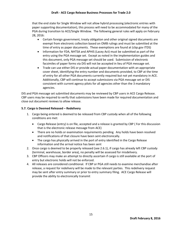#### **Draft - ACE Cargo Release Business Processes for Trade 2.0**

that the end state for Single Window will not allow hybrid processing (electronic entries with paper supporting documentation), this process will need to be accommodated for many of the PGA during transition to ACE/Single Window. The following general rules will apply on February 28, 2016:

- Certain foreign government, treaty obligation and other original signed documents are exempt from electronic collection based on OMB rulings and must be submitted at the time of entry as paper documents. These exemptions are found at (cbp.gov ITDS)
- Information for FDA, NHTSA and APHIS (Lacey Act) must be submitted as part of the entry using the PGA message set. Except as noted in the implementation guides and this document, only PGA message set should be used. Submission of electronic facsimiles of paper forms via DIS will not be accepted in lieu of PGA message set.
- Trade can use either DIS or provide actual paper documentation with an appropriate cover sheet, identifying the entry number and documents provided, to CBP at the time of entry for all other PGA documents currently required but not yet mandatory in ACE. Additionally, CBP will continue to accept submissions via PGA message set or DIS consistent with current agency pilots for all agencies other than the 3 mandatory agencies.

DIS and PGA message set submitted documents may be reviewed by CBP users in ACE Cargo Release. CBP users may be required to verify that submissions have been made for required documentation and close out document reviews to allow release.

#### <span id="page-18-0"></span>**5.7. Cargo is Deemed Released – Redelivery**

- 1. Cargo being entered is deemed to be released from CBP custody when all of the following conditions are met:
	- Cargo Release (entry) is on file, accepted and a release is granted by CBP ( For this discussion that is the electronic release message from ACE)
	- There are no holds or examination requirements pending. Any holds have been resolved and notifications of that closure have been sent electronically.
	- The cargo has physically arrived in the port of entry identified in the Cargo Release information and the arrival notice has been sent
- 2. Once cargo is deemed to be properly released (see 2.6.1), if cargo has already left CBP custody (terminal, warehouse, border area), no penalty will be assessed for misdelivery.
- 3. CBP Officers may make an attempt to directly ascertain if cargo is still available at the port of entry but electronic holds will not be enforced.
- 4. All releases are considered conditional. If CBP or PGA still needs to examine merchandise after release, a request for redelivery will be made to the relevant parties. This redelivery request may be sent after entry summary or prior to entry summary filing. ACE Cargo Release will provide the ability to electronically transmit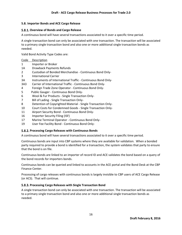#### <span id="page-19-0"></span>**5.8. Importer Bonds and ACE Cargo Release**

#### <span id="page-19-1"></span>**Overview of Bonds and Cargo Release**

A continuous bond will have several transactions associated to it over a specific time period.

A single transaction bond can only be associated with one transaction. The transaction will be associated to a primary single transaction bond and also one or more additional single transaction bonds as needed.

Valid Bond Activity Type Codes are:

| Description |
|-------------|
|-------------|

- 1 Importer or Broker
- 1A Drawback Payments Refunds
- 2 Custodian of Bonded Merchandise Continuous Bond Only-
- 3 International Carrier
- 3A Instruments of International Traffic Continuous Bond Only-
- 3A3 Carrier of International Traffic Continuous Bond Only-
- 4 Foreign Trade Zone Operator Continuous Bond Only-
- 5 Public Gauger Continuous Bond Only-
- 6 Wool & Fur Products Single Transaction Only-
- 7 Bill of Lading Single Transaction Only-
- 8 Detention of Copyrighted Material Single Transaction Only-
- 10 Court Costs for Condemned Goods Single Transaction Only-
- 11 Airport Security Bond Continuous Bond Only-
- 16 Importer Security Filing (ISF)
- 17 Marine Terminal Operator Continuous Bond Only-
- 19 User Fee Facility Bond Continuous Bond Only-

#### <span id="page-19-2"></span>**Processing Cargo Releases with Continuous Bonds**

A continuous bond will have several transactions associated to it over a specific time period.

Continuous bonds are input into CBP systems where they are available for validation. When a bonded party required to provide a bond is identified for a transaction, the system validates that party to ensure that the bond is on file.

Continuous bonds are linked to an importer of record ID and ACE validates the bond based on a query of the bond records for importers bonds.

Continuous bonds can be queried and linked to accounts in the ACE portal and the Bond Desk at the CBP Finance Center.

Processing of cargo releases with continuous bonds is largely invisible to CBP users of ACE Cargo Release (or ACS). That will continue.

#### <span id="page-19-3"></span>**Processing Cargo Releases with Single Transaction Bond**

A single transaction bond can only be associated with one transaction. The transaction will be associated to a primary single transaction bond and also one or more additional single transaction bonds as needed.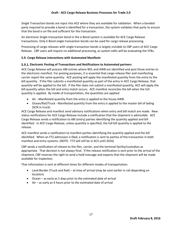Single Transaction bonds are input into ACE where they are available for validation. When a bonded party required to provide a bond is identified for a transaction, the system validates that party to ensure that the bond is on file and sufficient for the transaction.

An electronic Single transaction bond in the e-Bond system is available for ACE Cargo Release transactions. Only E-Bond single transaction bonds can be used for cargo release processing.

Processing of cargo releases with single transaction bonds is largely invisible to CBP users of ACE Cargo Release. CBP users will require no additional processing, as system edits will be evaluating the STBs.

#### <span id="page-20-0"></span>**5.9. Cargo Release Interactions with Automated Manifests**

#### <span id="page-20-1"></span>**Electronic Posting of Transactions and Notifications to Automated partners**

ACE Cargo Release will process ABI entries where BOL and AWB are identified and post those entries to the electronic manifest. For posting purposes, it is essential that cargo release filer and manifesting carrier report the same quantity. ACE posting will apply the manifested quantity from the entry to the bill quantity. If the filer submits a manifested quantity as part of the entry in ACE Cargo Release, that quantity will be applied to the bill. If the filer does not submit a manifested quantity, ACE will apply the bill quantity when the bill and entry match occurs. ACE manifest reconciles the bill when the full quantity is applied. By mode of transportation, the quantities are applied:

- Air Manifested quantity from the entry is applied to the house AWB.
- Ocean/Rail/Truck Manifested quantity from the entry is applied to the master bill of lading (SCN in truck)

ACE Cargo Release and manifest send advisory notifications when entry and bill match are made. New status notifications for ACE Cargo Release include a notification that the shipment is admissible. ACE Cargo Release sends a notification to ABI (entry) parties identifying the quantity applied and bill identified. In ACE Cargo Release, unless quantity is specified, the full bill quantity is applied to the release.

ACE manifest sends a notification to manifest parties identifying the quantity applied and the bill identified. When an FTZ admission is filed, a notification is sent to parties of the transaction in both manifest and entry systems. (NOTE: FTZ will still be in ACS until 2016)

CBP sends a notification of release to the filer, carrier, and the terminal facility/custodian as appropriate. That decision is not always final. If the release notification is sent prior to the arrival of the shipment, CBP reserves the right to send a hold message and expects that the shipment will be made available for inspection.

That information is sent at different times for different modes of transportation.

- Land Border (Truck and Rail) at time of arrival (may be sent earlier in rail depending on location)
- Ocean as early as 5 days prior to the estimated date of arrival
- Air as early as 4 hours prior to the estimated date of arrival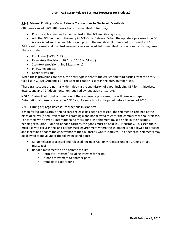#### <span id="page-21-0"></span>**Manual Posting of Cargo Release Transactions to Electronic Manifests**

CBP users can add ACE ABI transactions to a manifest in two ways:

- Post the entry number to the manifest in the ACE manifest system, or
- Add the BOL number to the entry in ACE Cargo Release. When the update is processed the BOL is associated and the quantity should post to the manifest. If it does not post, see 8.2.1.1.

Additional informal and manifest release types can be added to manifest transactions by posting same. These include:

- CBP Forms (3299, 7523 )
- Regulatory Provisions (10.41.a. 10.101/102 etc.)
- Statutory provisions (Sec 321a, b, or c)
- **•** HTSUS headnotes
- Other provisions

When these provisions are cited, the entry type is sent to the carrier and third parties from the entry type list in CATAIR Appendix B. The specific citation is sent in the entry number field.

These transactions are normally identified via the submission of paper including CBP forms, invoices, letters, and any PGA documentation required by regulation or statute.

**NOTE:** During Pilot to full automation of these alternate processes, this will remain in paper. Automation of these processes in ACE Cargo Release is not anticipated before the end of 2016.

#### <span id="page-21-1"></span>**Timing of Cargo Release Transactions in Manifest**

If manifested goods arrive and no cargo release has been processed, the shipment is retained at the place of arrival (or equivalent for rail crossings) and not allowed to enter the commerce without release. For carriers with a type 3 International Carriers bond, the shipment must be held in their custody pending resolution. For non-bonded carriers, the goods must be held in CBP custody. This scenario is most likely to occur in the land border truck environment where the shipment is not allowed to proceed and is retained aboard the conveyance at the CBP facility where it arrives. In either case, shipments may be allowed to move under the following conditions:

- Cargo Release processed and released (includes CBP only releases under PGA hold intact messages)
- Bonded movement to an alternate facility
	- o Permit to Transfer (including transfer for exam)
	- o In-bond movement to another port
	- o Immediate Export bond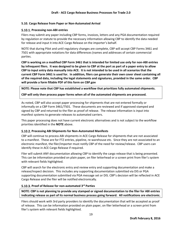#### <span id="page-22-0"></span>**5.10. Cargo Release from Paper or Non-Automated Arrival**

#### <span id="page-22-1"></span>**5.10.1. Processing non-ABI entries**

Filers may submit any paper including CBP forms, invoices, letters and any PGA documentation required by regulation or statute to provide the necessary information allowing CBP to identify the data needed for release and input it into ACE Cargo Release on the importer's behalf.

NOTE that during Pilot and until regulatory changes are complete, CBP will accept CBP Forms 3461 and 7501 with appropriate notations for data differences (names and addresses of certain commercial parties.

**CBP is working on a modified CBP Form 3461 that is intended for limited use only for non-ABI entries by infrequent filers. It was designed to be given to CBP at the port as part of a paper entry to allow CBP to input entry data manually into ACE. It is not intended to be used in all scenarios that the current CBP Form 3461 is used for. In addition, filers can generate their own cover sheet containing all of the required data, including the legal statements and signatures, provided in the same order. CBP will provide a form fillable PDF of this form on CBP.gov**

**NOTE: Please note that CBP has established a workflow that prioritizes fully automated shipments.** 

**CBP will only then process paper forms when all of the automated shipments are processed.**

As noted, CBP will also accept paper processing for shipments that are not entered formally or informally on a CBP Form 3461/7501. These documents are reviewed and if approved stamped and signed by CBP and returned to the filer as proof of release. The release information is input into manifest systems to generate releases to automated carriers.

This paper processing does not have current electronic alternatives and is not subject to the workflow priorities identified in the **NOTE** above.

#### <span id="page-22-2"></span>**Processing ABI Shipments for Non-Automated Manifests**

CBP will continue to process ABI shipments in ACE Cargo Release for shipments that are not associated to a manifest. These are for FTZ entries, pipeline, re-warehouse etc. Since they are not associated to an electronic manifest, the filer/importer must notify CBP of the need for review/release. CBP users can identify these in ACE Cargo Release if required.

Filer will submit ANY documentation allowing CBP to identify the cargo release that is being presented. This can be information provided on plain paper, on filer letterhead or a screen print from filer's system with relevant fields highlighted.

CBP will search for the electronic entry and review entry and supporting documentation and make a release/inspect decision. This includes any supporting documentation submitted via DIS or PGA supporting documentation submitted via PGA message set or DIS. CBP's decision will be reflected in ACE Cargo Release and the filer will be notified electronically.

#### <span id="page-22-3"></span>**Proof of Release for non-automated 3rd Parties**

**NOTE: CBP is not planning to provide any stamped or signed documentation to the filer for ABI entries indicating release as part of its normal business process going forward. All notifications are electronic.**

Filers should work with 3rd party providers to identify the documentation that will be accepted as proof of release. This can be information provided on plain paper, on filer letterhead or a screen print from filer's system with relevant fields highlighted.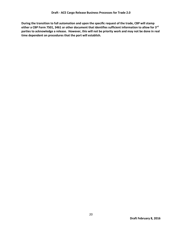**During the transition to full automation and upon the specific request of the trade, CBP will stamp either a CBP Form 7501, 3461 or other document that identifies sufficient information to allow for 3rd parties to acknowledge a release. However, this will not be priority work and may not be done in real time dependent on procedures that the port will establish.**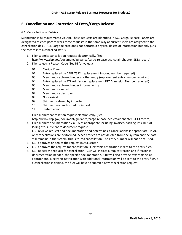## <span id="page-24-0"></span>**6. Cancellation and Correction of Entry/Cargo Release**

#### <span id="page-24-1"></span>**6.1. Cancellation of Entries**

Submission is fully automated via ABI. These requests are identified in ACE Cargo Release. Users are designated at each port to work these requests in the same way as current users are assigned to the cancellation desk. ACE Cargo release does not perform a physical delete of information but only puts the record into a cancelled status.

- 1. Filer submits cancellation request electronically. (See http://www.cbp.gov/document/guidance/cargo-release-ace-catair-chapter SE13 record)
- 2. Filer selects a Reason Code (See IG for values).
	- 01 Clerical Error
	- 02 Entry replaced by CBPF 7512 (replacement in-bond number required)
	- 03 Merchandise cleared under another entry (replacement entry number required)
	- 04 Entry replaced by FTZ Admission (replacement FTZ Admission Number required)
	- 05 Merchandise cleared under informal entry
	- 06 Merchandise seized
	- 07 Merchandise destroyed
	- 08 Non-arrival
	- 09 Shipment refused by importer
	- 10 Shipment not authorized for import
	- 11 System error
- 3. Filer submits cancellation request electronically. (See http://www.cbp.gov/document/guidance/cargo-release-ace-catair-chapter SE13 record)
- 4. Filer submits documentation via DIS as appropriate including invoices, packing lists, bills of lading etc. sufficient to document request.
- 5. CBP reviews request and documentation and determines if cancellations is appropriate. In ACE, only cancellations are performed. Since entries are not deleted from the system and the data still remains in the system, this is truly a cancellation. The entry number will not be re-used.
- 6. CBP approves or denies the request in ACE screen
- 7. CBP approves the request for cancellation. Electronic notification is sent to the entry filer.
- 8. CBP rejects the request for cancellation. CBP will initiate a request reason and if reason is documentation needed, the specific documentation. CBP will also provide text remarks as appropriate. Electronic notification with additional information will be sent to the entry filer. If a cancellation is denied, the filer will have to submit a new cancellation request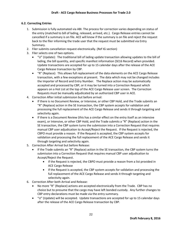#### <span id="page-25-0"></span>**6.2. Correcting Entries**

- 1. Submission is fully automated via ABI. The process for correction varies depending on status of the entry (matched to bill of lading, released, arrived, etc.). Cargo Release entries cannot be cancelled if a summary is on file. ACE will know if the summary is on file and reject the request back to the filer informing the trade user that the request must be submitted via Entry Summary.
- 2. Filer submits cancellation request electronically. (Ref IG section)
- 3. Filer selects one of two options.
	- "U" (Update): The traditional bill of lading update transaction allowing updates to the bill of lading, the bill quantity, and specific manifest information (SE16 Record) when provided. Update transactions are accepted for up to 15 calendar days after the release of the ACE Cargo Release transaction by CBP.
	- "R" (Replace): This allows full replacement of the data elements on the ACE Cargo Release transaction, with a few exceptions at present. The data which may not be changed includes the Importer of Record and Entry Number. The Replace action may be automatically accepted and processed by CBP, or it may be turned into a Correction Request which appears on a Hot List at the top of the ACE Cargo Release user screen. The Correction Requests must be manually adjudicated by an authorized CBP user in ACE.
- 4. Correction After initial submission but before arrival:
	- If there is no Document Review, or Intensive, or other CBP Hold, and the Trade submits an "R" (Replace) action in the SE transaction, the CBP system accepts for validation and processing the full replacement of the ACE Cargo Release and sends it through targeting and selectivity again.
	- If there is a Document Review (this has a similar effect on the entry itself as an intensive exam), or Intensive, or other CBP Hold, and the Trade submits a "R" (Replace) action in the SE transaction, the CBP system turns the submission into a Correction Request that requires manual CBP user adjudication to Accept/Reject the Request. If the Request is rejected, the CBPO must provide a reason. If the Request is accepted, the CBP system accepts for validation and processing the full replacement of the ACE Cargo Release and sends it through targeting and selectivity again.
- 5. Correction After Arrival but before Release:
	- If the Trade submits an "R" (Replace) action in the SE transaction, the CBP system turns the submission into a Correction Request that requires manual CBP user adjudication to Accept/Reject the Request.
		- If the Request is rejected, the CBPO must provide a reason from a list provided in ACE Cargo Release
		- If the Request is accepted, the CBP system accepts for validation and processing the full replacement of the ACE Cargo Release and sends it through targeting and selectivity again.
- 6. Correction After both Arrival and Release:
	- No more "R" (Replace) actions are accepted electronically from the Trade. CBP has no choice but to presume that the cargo may have left bonded custody. Any further changes to CBP entry declarations must be made via the entry summary.
	- "U" (Update) will be accepted. Update transactions are accepted for up to 15 calendar days after the release of the ACE Cargo Release transaction by CBP.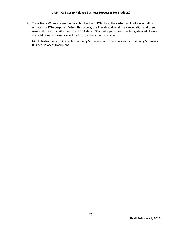7. Transition - When a correction is submitted with PGA data, the system will not always allow updates for PGA purposes. When this occurs, the filer should send in a cancellation and then resubmit the entry with the correct PGA data. PGA participants are specifying allowed changes and additional information will be forthcoming when available.

NOTE: Instructions for Correction of Entry Summary records is contained in the Entry Summary Business Process Document.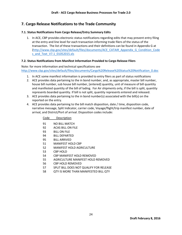## <span id="page-27-0"></span>**7. Cargo Release Notifications to the Trade Community**

#### <span id="page-27-1"></span>**7.1. Status Notifications from Cargo Release/Entry Summary Edits**

1. In ACE, CBP provides electronic status notifications regarding edits that may prevent entry filing at the entry and line level for each transaction informing trade filers of the status of the transaction. The list of these transactions and their definitions can be found in Appendix G at [\(http://www.cbp.gov/sites/default/files/documents/ACE\\_CATAIR\\_Appendix\\_G\\_Condition\\_Code](http://www.cbp.gov/sites/default/files/documents/ACE_CATAIR_Appendix_G_Condition_Codes_and_Text_V7.1_01052015.xls) [s\\_and\\_Text\\_V7.1\\_01052015.xls](http://www.cbp.gov/sites/default/files/documents/ACE_CATAIR_Appendix_G_Condition_Codes_and_Text_V7.1_01052015.xls)

#### <span id="page-27-2"></span>**7.2. Status Notifications from Manifest Information Provided to Cargo Release Filers**

Note: for more information and technical specifications see [http://www.cbp.gov/sites/default/files/documents/Cargo%20Release%20Status%20Notification\\_0.doc](http://www.cbp.gov/sites/default/files/documents/Cargo%20Release%20Status%20Notification_0.doc)

- 1. In ACE some manifest information is provided to entry filers as part of status notifications
- 2. ACE provides data pertaining to the in bond number, and, as appropriate, master bill number, house bill number, sub house bill number, [entered] quantity, unit of measure of bill quantity and manifested quantity of the bill of lading. For Air shipments only, if the bill is split, quantity represents boarded quantity. If bill is not split, quantity represents entered and released.
- 3. ACE provides data pertaining to the in bond number(s) associated with the bill(s) on the reported on the entry.
- 4. ACE provides data pertaining to the bill match disposition, date / time, disposition code, narrative message, Split Indicator, carrier code, Voyage/flight/trip manifest number, date of arrival, and District/Port of arrival. Disposition codes include:

Code Description

| 91 |  | <b>NO BILL MATCH</b> |
|----|--|----------------------|
|    |  |                      |

- 92 ACAS BILL ON FILE
- 93 BILL ON FILE
- 94 BILL DEPARTED
- 95 BILL ARRIVED
- 51 MANIFEST HOLD CBP
- 52 MANIFEST HOLD AGRICULTURE
- 53 CBP HOLD
- 54 CBP MANIFEST HOLD REMOVED
- 55 AGRICULTURE MANIFEST HOLD REMOVED
- 56 CBP HOLD REMOVED
- 57 SPLIT BILL DOES NOT QUALIFY FOR RELEASE
- 58 QTY IS MORE THAN MANIFESTED BILL QTY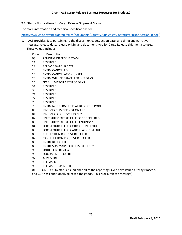#### <span id="page-28-0"></span>**7.3. Status Notifications for Cargo Release Shipment Status**

For more information and technical specifications see

Code Description

[http://www.cbp.gov/sites/default/files/documents/Cargo%20Release%20Status%20Notification\\_0.doc](http://www.cbp.gov/sites/default/files/documents/Cargo%20Release%20Status%20Notification_0.doc) )

1. ACE provides data pertaining to the disposition codes, action date, and time; and narrative message, release date, release origin, and document type for Cargo Release shipment statuses. These values include:

| 03 | PENDING INTENSIVE EXAM                                                                |
|----|---------------------------------------------------------------------------------------|
| 21 | <b>RESERVED</b>                                                                       |
| 22 | <b>RELEASE DATE UPDATE</b>                                                            |
| 23 | <b>ENTRY CANCELLED</b>                                                                |
| 24 | <b>ENTRY CANCELLATION UNSET</b>                                                       |
| 25 | <b>ENTRY WILL BE CANCELLED IN 7 DAYS</b>                                              |
| 26 | NO BILL MATCH AFTER 30 DAYS                                                           |
| 31 | <b>RESERVED</b>                                                                       |
| 35 | RESERVED                                                                              |
| 71 | RESERVED                                                                              |
| 72 | <b>RESERVED</b>                                                                       |
| 73 | <b>RESERVED</b>                                                                       |
| 79 | ENTRY NOT PERMITTED AT REPORTED PORT                                                  |
| 80 | IN-BOND NUMBER NOT ON FILE                                                            |
| 81 | <b>IN-BOND PORT DISCREPANCY</b>                                                       |
| 82 | SPLIT SHIPMENT RELEASE CODE REQUIRED                                                  |
| 83 | SPLIT SHIPMENT RELEASE PENDING**                                                      |
| 84 | DOC REQUIRED FOR CORRECTION REQUEST                                                   |
| 85 | DOC REQUIRED FOR CANCELLATION REQUEST                                                 |
| 86 | <b>CORRECTION REQUEST REJECTED</b>                                                    |
| 87 | <b>CANCELLATION REQUEST REJECTED</b>                                                  |
| 88 | <b>ENTRY REPLACED</b>                                                                 |
| 89 | ENTRY SUMMARY PORT DISCREPANCY                                                        |
| 90 | UNDER CBP REVIEW                                                                      |
| 96 | <b>DOCUMENT REQUIRED</b>                                                              |
| 97 | <b>ADMISSIBLE</b>                                                                     |
| 98 | RELEASED                                                                              |
| 99 | <b>RELEASE SUSPENDED</b>                                                              |
| 01 | ONE USG (A status issued once all of the reporting PGA's have issued a "May Proceed," |
|    | and CBP has conditionally released the goods. This NOT a release message)             |
|    |                                                                                       |
|    |                                                                                       |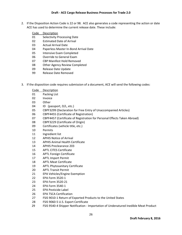2. If the Disposition Action Code is 22 or 98. ACE also generates a code representing the action or date ACE has used to determine the current release date. These include:

| Code | Description |  |
|------|-------------|--|
|      |             |  |

- 01 Selectivity Processing Date
- Estimated Date of Arrival
- Actual Arrival Date
- Paperless Master In-Bond Arrival Date
- Intensive Exam Completed
- Override to General Exam
- CBP Manifest Hold Removed
- Other Agency Review Completed
- Release Date Update
- Release Date Removed
- 3. If the disposition code requires submission of a document, ACE will send the following codes:

| Code | Description  |
|------|--------------|
| 01   | Packing List |

- 02 Invoice
- 03 Other
- 04 ID (passport, D/L, etc.)
- 05 CBPF3299 (Declaration for Free Entry of Unaccompanied Articles)
- CBPF4455 (Certificate of Registration)
- 07 CBPF4457 (Certificate of Registration for Personal Effects Taken Abroad)
- 08 CBPF3229 (Certificate of Origin)
- Certificates (vehicle title, etc.)
- Permits
- 11 Ingredient list
- APHIS Notice of Arrival
- APHIS Animal Health Certificate
- APHIS Preclearance 203
- APTL CITES Certificate
- APTL Foreign Certificate
- APTL Import Permit
- APTL Meat Certificate
- APTL Phytosanitary Certificate
- APTL Transit Permit
- EPA Vehicles/Engine Exemption
- EPA Form 3520-1
- EPA Form 3520-21
- EPA Form 3540-1
- EPA Pesticide Label
- EPA TSCA Certification
- FSIS 9010-1 Return of Exported Products to the United States
- FSIS 9060-5 U.S. Export Certificate
- FSIS 9540-4 Shipper Notification Importation of Undenatured Inedible Meat Product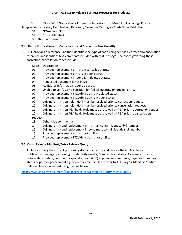#### **Draft - ACE Cargo Release Business Processes for Trade 2.0**

 30 FSIS 9540-5 Notification of Intent for Importation of Meat, Poultry, or Egg Product Samples for Laboratory Examination, Research, Evaluative Testing, or Trade Show Exhibition

- 31 NOAA Form 370
- 32 Export Manifest
- 33 Photo or Image

#### <span id="page-30-0"></span>**7.4. Status Notifications for Cancellation and Correction Functionality**

1. ACE provides a reference line that identifies the type of code being sent as a correction/cancellation reference and identifies text comments included with that message. The codes governing these correction/cancellation codes include:

#### Code Description

- 01 Provided replacement entry is in cancelled status.
- 02 Provided replacement entry is in open status.
- 03 Provided replacement in-bond is in deleted status.
- 04 Requested document is not in DIS.
- 05 Additional information required via DIS.
- 06 Unable to verify CBP disposition for full bill quantity on original entry.
- 07 Provided replacement FTZ Admission is in deleted status.
- 08 Provided replacement FTZ Admission is in open status.
- 09 Original entry is on hold. Hold must be resolved prior to correction request.
- 10 Original entry is on hold. Hold must be resolved prior to cancellation request.
- 11 Original entry is on PGA hold. Hold must be resolved by PGA prior to correction request.
- 12 Original entry is on PGA hold. Hold must be resolved by PGA prior to cancellation

request.

- 13 Other (See comments).
- 14 Original entry and replacement entry must contain identical bill number.
- 15 Original entry and replacement in-bond must contain identical bill number.
- 16 Provided replacement entry is not on file.
- 17 Provided replacement FTZ Admission is not on file.

#### <span id="page-30-1"></span>**7.5. Cargo Release Manifest/Entry Release Query**

1. A filer can query the current processing status of an entry and receive the applicable status notification messages pertaining to selectivity results, Manifest hold status, Air manifest status, release date update, commodity specialist team (CST) approval requirements, paperless summary status or partner government agency requirements. Please refer to ACE Cargo / Manifest / Entry Release Query, document using the link below.

<http://www.cbp.gov/document/guidance/ace-cargo-manifest-entry-release-query>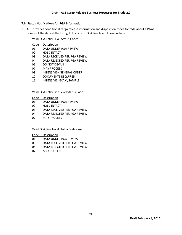#### <span id="page-31-0"></span>**7.6. Status Notifications for PGA information**

1. ACE provides conditional cargo release information and disposition codes to trade about a PGAs review of the data at the Entry, Entry Line or PGA Line level. These include:

Valid PGA Entry Level Status Codes:

| Description<br>Code |
|---------------------|
|---------------------|

- DATA UNDER PGA REVIEW
- HOLD INTACT
- DATA RECEIVED PER PGA REVIEW
- DATA REJECTED PER PGA REVIEW
- DO NOT DEVAN
- MAY PROCEED
- INTENSIVE GENERAL ORDER
- DOCUMENTS REQUIRED
- INTENSIVE EXAM/SAMPLE

Valid PGA Entry Line Level Status Codes:

Code Description

- DATA UNDER PGA REVIEW
- HOLD INTACT
- DATA RECEIVED PER PGA REVIEW
- DATA REJECTED PER PGA REVIEW
- MAY PROCEED

Valid PGA Line Level Status Codes are:

Code Description

- DATA UNDER PGA REVIEW
- DATA RECEIVED PER PGA REVIEW
- DATA REJECTED PER PGA REVIEW
- MAY PROCEED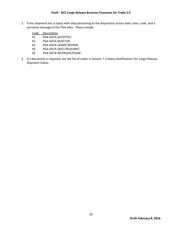- 2. If the shipment has a status with data pertaining to the disposition action date, time, code, and a narrative message of the PGA data. These include:
	- Code Description
	- 01 PGA DATA ACCEPTED
	- 02 PGA DATA REJECTED
	- 03 PGA DATA UNDER REVIEW
	- 04 PGA DATA DOCS REQUIRED
	- 05 PGA DATA INTENSIVE/EXAM
- 3. If a document is required, see the list of codes in Sectio[n 7.3](#page-28-0) [Status Notifications for Cargo Release](#page-28-0)  [Shipment Status](#page-28-0)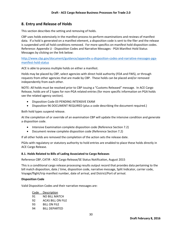## <span id="page-33-0"></span>**8. Entry and Release of Holds**

This section describes the setting and removing of holds.

CBP uses holds extensively in the manifest process to perform examinations and reviews of manifest data. If a hold is generated on a manifest element, a disposition code is sent to the filer and the release is suspended until all hold conditions removed. For more specifics on manifest hold disposition codes. Reference: Appendix U - Disposition Codes and Narrative Messages - PGA Manifest Hold Status Messages by clicking on the link below:

[http://www.cbp.gov/document/guidance/appendix-u-disposition-codes-and-narrative-messages-pga](http://www.cbp.gov/document/guidance/appendix-u-disposition-codes-and-narrative-messages-pga-manifest-hold-status)[manifest-hold-status](http://www.cbp.gov/document/guidance/appendix-u-disposition-codes-and-narrative-messages-pga-manifest-hold-status)

ACE is able to process multiple holds on either a manifest.

Holds may be placed by CBP, select agencies with direct hold authority (FDA and FWS), or through requests from other agencies that are made by CBP. These holds can be placed and/or removed independently from each other.

NOTE: All holds must be resolved prior to CBP issuing a "Customs Released" message. In ACE Cargo Release, holds are of 2 types for non-PGA related entries (for more specific information on PGA holds see the related agency section).

- **•** Disposition Code 03 PENDING INTENSIVE EXAM
- Disposition 96 DOCUMENT REQUIRED (plus a code describing the document required.)

Both hold types suspend release.

At the completion of or override of an examination CBP will update the intensive condition and generate a disposition code.

- Intensive Examination complete disposition code (Reference Section [7.2\)](#page-27-2)
- Document review complete disposition code (Reference Sectio[n 7.2\)](#page-27-2)

If all other holds are removed the completion of the action sets the release date.

PGAs with regulatory or statutory authority to hold entries are enabled to place these holds directly in ACE Cargo Release.

#### <span id="page-33-1"></span>**8.1. Holds Related to Bills of Lading Associated to Cargo Releases**

Reference CBP, CATIR - ACE Cargo Release/SE Status Notification, August 2015

This is a conditional cargo release processing results output record that provides data pertaining to the bill match disposition, date / time, disposition code, narrative message, Split Indicator, carrier code, Voyage/flight/trip manifest number, date of arrival, and District/Port of arrival.

#### **Disposition Code**

Valid Disposition Codes and their narrative messages are:

| Code | Description              |
|------|--------------------------|
| 91   | NO BILL MATCH            |
| 92   | <b>ACAS BILL ON FILE</b> |
| 93   | <b>BILL ON FILE</b>      |
| 94   | <b>BILL DEPARTED</b>     |
|      |                          |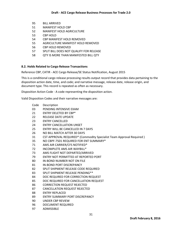- 95 BILL ARRIVED
- 51 MANIFEST HOLD CBP
- 52 MANIFEST HOLD AGRICULTURE
- 53 CBP HOLD
- 54 CBP MANIFEST HOLD REMOVED
- 55 AGRICULTURE MANIFEST HOLD REMOVED
- 56 CBP HOLD REMOVED
- 57 SPLIT BILL DOES NOT QUALIFY FOR RELEASE
- 58 QTY IS MORE THAN MANIFESTED BILL QTY

#### <span id="page-34-0"></span>**8.2. Holds Related to Cargo Release Transactions**

Reference CBP, CATIR - ACE Cargo Release/SE Status Notification, August 2015

This is a conditional cargo release processing results output record that provides data pertaining to the disposition action date, time, and code; and narrative message, release date, release origin, and document type. This record is repeated as often as necessary.

Disposition Action Code - A code representing the disposition action.

Valid Disposition Codes and their narrative messages are:

| Code | Description                                                          |
|------|----------------------------------------------------------------------|
| 03   | PENDING INTENSIVE EXAM                                               |
| 21   | <b>ENTRY DELETED BY CBP*</b>                                         |
| 22   | <b>RELEASE DATE UPDATE</b>                                           |
| 23   | <b>FNTRY CANCELLED</b>                                               |
| 24   | <b>FNTRY CANCELLATION UNSET</b>                                      |
| 25   | ENTRY WILL BE CANCELLED IN 7 DAYS                                    |
| 26   | NO BILL MATCH AFTER 30 DAYS                                          |
| 31   | CST APPROVAL REQUIRED* (Commodity Specialist Team Approval Required) |
| 35   | NO CBPF-7501 REQUIRED FOR ENT SUMMARY*                               |
| 71   | AMS AIR CARRIER/CFS NOTIFIED*                                        |
| 72   | INCOMPLETE AMS AIR WAYBILL*                                          |
| 73   | AMS FLIGHT NOT DEPARTED/ARRIVED                                      |
| 79   | <b>FNTRY NOT PFRMITTED AT REPORTED PORT</b>                          |
| 80   | IN-BOND NUMBER NOT ON FILE                                           |
| 81   | IN-BOND PORT DISCREPANCY                                             |
| 82   | SPLIT SHIPMENT RELEASE CODE REQUIRED                                 |
| 83   | SPLIT SHIPMENT RELEASE PENDING**                                     |
| 84   | DOC REQUIRED FOR CORRECTION REQUEST                                  |
| 85   | DOC REQUIRED FOR CANCELLATION REQUEST                                |
| 86   | <b>CORRECTION REQUEST REJECTED</b>                                   |
| 87   | <b>CANCELLATION REQUEST REJECTED</b>                                 |
| 88   | <b>FNTRY REPLACED</b>                                                |
| 89   | ENTRY SUMMARY PORT DISCREPANCY                                       |
| 90   | UNDER CBP REVIEW                                                     |
| 96   | <b>DOCUMENT REQUIRED</b>                                             |
| 97   | <b>ADMISSIBLE</b>                                                    |
|      |                                                                      |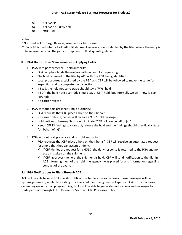98 RELEASED

99 RELEASE SUSPENDED

01 ONE USG

#### Notes:

\* Not used in ACE Cargo Release; reserved for future use.

\*\* Code 83 is used when a Hold All split shipment release code is selected by the filer, where the entry is to be released after all the parts of shipment (full bill quantity) depart.

#### <span id="page-35-0"></span>**8.3. PGA Holds, Three Main Scenarios – Applying Holds**

- 1. PGA with port presence + hold authority:
	- PGA can place holds themselves with no need for requesting
	- The hold is passed to the filer by ACE with the PGA being identified.
	- Local procedures established by the PGA and CBP will be followed to move the cargo for inspection and to complete the inspection.
	- If FWS, the hold notice to trade should say a 'FWS' hold
	- If FDA, the hold notice to trade should say a 'CBP' hold, but internally we will know it is an FDA hold
	- No carrier release
- 2. PGA without port presence + hold authority:
	- PGA requests that CBP place a hold on their behalf
	- No carrier release; carrier will receive a 'CBP' hold message
	- Hold notices to broker/filer should indicate "CBP hold on behalf of (x)"
	- Needs CERTS findings to close out/release the hold and the findings should specifically state "on behalf of (x)"
- 3. PGA without port presence and no hold authority
	- PGA requests that CBP place a hold on their behalf. CBP will receive an automated request for a hold that they can accept or deny.
		- $\checkmark$  If CBP denies the request for a HOLD, the deny response is returned to the PGA and no action is taken on the shipment.
		- $\checkmark$  If CBP approves the hold, the shipment is held. CBP will send notification to the filer in ACE informing them of the hold, the agency it was placed for and information regarding conduct of the exam.

#### <span id="page-35-1"></span>**8.4. PGA Notifications to Filers Through ACE**

ACE will be able to send PGA specific notifications to filers. In some cases, these messages will be system generated, similar to existing processes but identifying needs of specific PGAs. In other cases depending on individual programming, PGAs will be able to generate notifications and messages to trade partners through ACE. Reference Sectio[n 5](#page-15-0) [CBP Processes Entry](#page-15-0)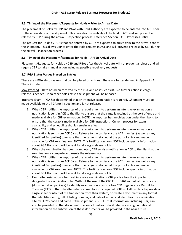#### <span id="page-36-0"></span>**8.5. Timing of the Placement/Requests for Holds – Prior to Arrival Date**

The placement of Holds by CBP and PGAs with Hold Authority are expected to be entered into ACE *prior* to the arrival date of the shipment. This provides the visibility of the hold in ACE and will prevent a release by CBP during the arrival – inspection process. Reference Section [5](#page-15-0) [CBP Processes Entry.](#page-15-0)

The request for Holds by PGAs that are entered by CBP are expected to arrive *prior* to the arrival date of the shipment. This allows CBP to enter the Hold request in ACE and will prevent a release by CBP during the arrival – inspection process.

#### <span id="page-36-1"></span>**8.6. Timing of the Placement/Requests for Holds – AFTER Arrival Date**

Placements/Requests for Holds by CBP and PGAs after the Arrival date will not prevent a release and will require CBP to take manual action including possible redelivery requests.

#### <span id="page-36-2"></span>**8.7. PGA Status Values Placed on Entries**

There are 4 PGA status values that can be placed on entries. These are better defined in Appendix A. These include:

May Proceed – Data has been received by the PGA and no issues exist. No further action in cargo release is needed. If no other holds exist, the shipment will be released.

Intensive Exam – PGA has determined that an intensive examination is required. Shipment must be made available to the PGA for inspection and is not released.

- 1. When CBP notifies the importer of the requirement to perform an intensive examination a notification is sent in ACE to the filer to ensure that the cargo is retained at the port of entry and made available for CBP examination. NOTE the importer has an obligation under their bond to ensure that the cargo is made available for CBP inspection. Current process for exam availability and scheduling should remain in effect.
- 2. When CBP notifies the importer of the requirement to perform an intensive examination a notification is sent from ACE Cargo Release to the carrier via the ACE manifest (as well as any identified 3rd parties) to ensure that the cargo is retained at the port of entry and made available for CBP examination. NOTE: This Notification does NOT include specific information about PGA Holds and will be sent for all cargo release holds
- 3. When the examination has been completed, CBP sends a notification in ACE to the filer that the examination is complete and resets the release date.
- 4. When CBP notifies the importer of the requirement to perform an intensive examination a notification is sent from ACE Cargo Release to the carrier via the ACE manifest (as well as any identified 3rd parties) to ensure that the cargo is retained at the port of entry and made available for CBP examination. NOTE: This Notification does NOT include specific information about PGA Holds and will be sent for all cargo release holds
- 5. Exam site designation for most intensive examinations, CBP ports allow the importer to designate the examination site. Without the use of the CBP Form 3461 as part of the process (documentation package) to identify examination sites to allow CBP to generate a Permit to Transfer (PTT) to that site alternate documentation is required. CBP will allow filers to provide a single sheet printout of the transaction from their system, or create a document in any format that identifies, entry, bill of lading number, and date of arrival and identifies the examination site by FIRMS code and name. If the shipment is C-TPAT that information (including Tier) can also be provided on that document to allow all parties to facilitate processing. Additional information on the submission of these documents will be provided in the near future.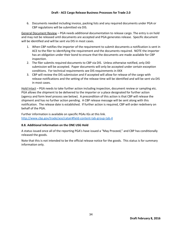6. Documents needed including invoice, packing lists and any required documents under PGA or CBP regulations will be submitted via DIS.

General Document Review – PGA needs additional documentation to release cargo. The entry is on hold and may not be released until documents are accepted and PGA generates release. Specific document will be identified and will be sent via DIS in most cases.

- 1. When CBP notifies the importer of the requirement to submit documents a notification is sent in ACE to the filer to identifying the requirement and the documents required. NOTE the importer has an obligation under their bond to ensure that the documents are made available for CBP inspection.
- 2. The filer submits required documents to CBP via DIS. Unless otherwise notified, only DID submission will be accepted. Paper documents will only be accepted under certain exception conditions. For technical requirements see DIS requirements in XXX
- 3. CBP will review the DIS submission and if accepted will allow for release of the cargo with release notifications and the setting of the release time will be identified and will be sent via DIS in most cases.

Hold Intact – PGA needs to take further action including inspection, document review or sampling etc. PGA allows the shipment to be delivered to the importer or a place designated for further action (agency and form level process see below). A precondition of this action is that CBP will release the shipment and has no further action pending. A CBP release message will be sent along with this notification. The release date is established. If further action is required, CBP will order redelivery on behalf of the PGA.

Further information is available on specific PGAs IGs at this link. <http://www.cbp.gov/trade/ace/catair#field-content-tab-group-tab-4>

#### <span id="page-37-0"></span>**8.8. Additional Information on the ONE USG Hold**

A status issued once all of the reporting PGA's have issued a "May Proceed," and CBP has conditionally released the goods.

Note that this is not intended to be the official release notice for the goods. This status is for summary information only.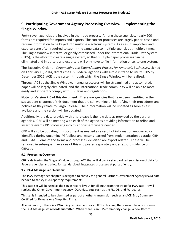## <span id="page-38-0"></span>**9. Participating Government Agency Processing Overview – Implementing the Single Window**

Forty-seven agencies are involved in the trade process. Among these agencies, nearly 200 forms are required for imports and exports. The current processes are largely paper-based and require information to be keyed into multiple electronic systems. As a result, importers and exporters are often required to submit the same data to multiple agencies at multiple times. The Single Window initiative, originally established under the International Trade Data System (ITDS), is the effort to create a single system, so that multiple paper processes can be eliminated and importers and exporters will only have to file information once, to one system.

The Executive Order on *Streamlining the Export/Import Process for America's Businesses*, signed on February 19, 2014, directs the U.S. Federal agencies with a role in trade to utilize ITDS by December 2016. ACE is the system through which the Single Window will be realized.

Through ACE as the Single Window, manual processes will be streamlined and automated, paper will be largely eliminated, and the international trade community will be able to more easily and efficiently comply with U.S. laws and regulations.

**Note for Version 2.0 of this document:** There are agencies that have been identified in the subsequent chapters of this document that are still working on identifying their procedures and policies as they relate to Cargo Release. Their information will be updated as soon as it is available and the version will be updated.

Additionally, the data provide with this release is the raw data as provided by the partner agencies. CBP will be meeting with each of the agencies providing information to refine and insert relevant CBP processing into this document where needed.

CBP will also be updating this document as needed as a result of information uncovered or identified during upcoming PGA pilots and lessons learned from implementation by trade, CBP and PGAs. Some of the forms and processes identified are export related. These will be removed in subsequent versions of this and posted separately under export guidance on CBP.gov

## <span id="page-38-1"></span>**9.1. Processing Overview**

CBP is delivering the Single Window through ACE that will allow for standardized submission of data for Federal agencies and allow for standardized, integrated processes at ports of entry.

#### <span id="page-38-2"></span>**9.2. PGA Message Set Overview**

The PGA Message set chapter is designed to convey the general Partner Government Agency (PGA) data needed to satisfy PGA reporting requirements.

This data set will be used as the single record layout for all input from the trade for PGA data. It will replace the Other Government Agency (OGA) data sets such as the FD, DT, and FC records

This set is intended to be submitted as part of another transmission such as an ACE Entry Summary Certified for Release or a Simplified Entry.

At a minimum, if there is a PGA filing requirement for an HTS entry line, there would be one instance of the PGA Message set records submitted. When there is an HTS commodity change, a new Record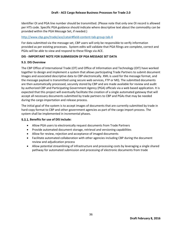Identifier OI and PGA line number should be transmitted. (Please note that only one OI record is allowed per HTS code. Specific PGA guidance should indicate where descriptive text about the commodity can be provided within the PGA Message Set, if needed.)

#### <http://www.cbp.gov/trade/ace/catair#field-content-tab-group-tab-4>

For data submitted via the message set, CBP users will only be responsible to verify information provided as per existing processes. System edits will validate that PGA filings are complete, correct and PGAs will be able to view and respond to these filings via ACE.

#### **DIS - IMPORTANT NOTE FOR SUBMISSION OF PGA MESSAGE SET DATA**

#### <span id="page-39-0"></span>**9.3. DIS Overview**

The CBP Office of International Trade (OT) and Office of Information and Technology (OIT) have worked together to design and implement a system that allows participating Trade Partners to submit document Images and associated descriptive data to CBP electronically. XML is used for the message format, and the message payload is transmitted using secure web services, FTP or MQ. The submitted documents are then automatically processed, securely stored by CBP and are made available for review and audit by authorized CBP and Participating Government Agency (PGA) officials via a web based application. It is expected that this project will eventually facilitate the creation of a single automated gateway that will accept all necessary documents submitted by trade partners to CBP and PGAs that may be needed during the cargo importation and release process.

The initial goal of the system is to accept images of documents that are currently submitted by trade in hard-copy format to CBP and other government agencies as part of the cargo import process. The system shall be implemented in incremental phases.

#### <span id="page-39-1"></span>**Benefits for use of DIS include:**

- Allow PGA users to electronically request documents from Trade Partners
- Provide automated document storage, retrieval and versioning capabilities
- Allow for review, rejection and acceptance of imaged documents
- Facilitate automated collaboration with other agencies including CBP during the document review and adjudication process
- Allow potential streamlining of infrastructure and processing costs by leveraging a single shared pathway for automated submission and processing of electronic documents from trade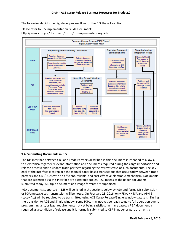The following depicts the high-level process flow for the DIS Phase I solution.

Please refer to DIS Implementation Guide Document: http://www.cbp.gov/document/forms/dis-implementation-guide



#### <span id="page-40-0"></span>**9.4. Submitting Documents in DIS**

The DIS interface between CBP and Trade Partners described in this document is intended to allow CBP to electronically gather relevant information and documents required during the cargo importation and release process and to update trade partners regarding the review status of such documents. The key goal of the interface is to replace the manual paper based transactions that occur today between trade partners and CBP/PGAs with an efficient, reliable, and cost-effective electronic mechanism. Documents that are submitted via this interface are electronic copies, i.e., images of the paper documents submitted today. Multiple document and image formats are supported.

PGA documents supported in DIS will be listed in the sections below by PGA and form. DIS submission or PGA message set transmission will be noted. On February 28, 2016, only FDA, NHTSA and APHIS (Lacey Act) will be required to be transmitted using ACE Cargo Release/Single Window datasets. During the transition to ACE and Single window, some PGAs may not yet be ready to go to full operation due to programming and/or legal requirements not yet being satisfied. In many cases, a PGA document is required as a condition of release and it is normally submitted to CBP in paper as part of an entry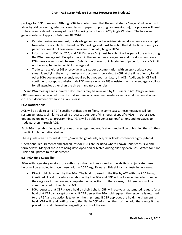package for CBP to review. Although CBP has determined that the end state for Single Window will not allow hybrid processing (electronic entries with paper supporting documentation), this process will need to be accommodated for many of the PGAs during transition to ACE/Single Window. The following general rules will apply on February 28, 2016:

- Certain foreign government, treaty obligation and other original signed documents are exempt from electronic collection based on OMB rulings and must be submitted at the time of entry as paper documents. These exemptions are found at (cbp.gov ITDS)
- Information for FDA, NHTSA, and APHIS (Lacey Act) must be submitted as part of the entry using the PGA message set. Except as noted in the implementation guides and this document, only PGA message set should be used. Submission of electronic facsimiles of paper forms via DIS will not be accepted in lieu of PGA message set.
- Trade can use either DIS or provide actual paper documentation with an appropriate cover sheet, identifying the entry number and documents provided, to CBP at the time of entry for all other PGA documents currently required but not yet mandatory in ACE. Additionally, CBP will continue to accept submissions via PGA message set or DIS consistent with current agency pilots for all agencies other than the three mandatory agencies.

DIS and PGA message set submitted documents may be reviewed by CBP users in ACE Cargo Release. CBP users may be required to verify that submissions have been made for required documentation and close out document reviews to allow release.

#### **PGA Notifications**

ACE will be able to send PGA specific notifications to filers. In some cases, these messages will be system generated, similar to existing processes but identifying needs of specific PGAs. In other cases depending on individual programming, PGAs will be able to generate notifications and messages to trade partners through ACE.

Each PGA is establishing specifications on messages and notifications and will be publishing them in their specific Implementation Guides.

These guides can be found at: http://www.cbp.gov/trade/ace/catair#field-content-tab-group-tab-4

Operational requirements and procedures for PGAs are included where known under each PGA and form below. Many of these are being developed and or tested during piloting exercises. Watch for pilot FRNs and updates to this document.

## <span id="page-41-0"></span>**9.5. PGA Hold Capability**

PGAs with regulatory or statutory authority to hold entries as well as the ability to adjudicate these holds will be enabled to place these holds in ACE Cargo Release. This ability manifests in two ways:

- Direct hold placement by the PGA. The hold is passed to the filer by ACE with the PGA being identified. Local procedures established by the PGA and CBP will be followed in order to move the cargo for inspection and complete the inspection. In these cases, hold removals will be communicated to the filer by ACE.
- PGA requests that CBP place a hold on their behalf. CBP will receive an automated request for a hold that CBP can accept or deny. If CBP denies the PGA hold request, the response is returned to the PGA and no action is taken on the shipment. If CBP approves the hold, the shipment is held. CBP will send notification to the filer in ACE informing them of the hold, the agency it was placed for, and information regarding results of the exam.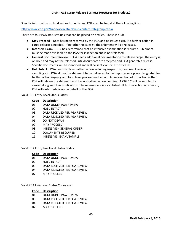Specific information on hold values for individual PGAs can be found at the following link:

#### <http://www.cbp.gov/trade/ace/catair#field-content-tab-group-tab-4>

There are four PGA status values that can be placed on entries. These include:

- **May Proceed** Data has been received by the PGA and no issues exist. No further action in cargo release is needed. If no other holds exist, the shipment will be released.
- **Intensive Exam** PGA has determined that an intensive examination is required. Shipment must be made available to the PGA for inspection and is not released.
- **General Document Review** PGA needs additional documentation to release cargo. The entry is on hold and may not be released until documents are accepted and PGA generates release. Specific documents will be identified and will be sent via DIS in most cases.
- **Hold Intact** PGA needs to take further action including inspection, document review or sampling etc. PGA allows the shipment to be delivered to the importer or a place designated for further action (agency and form level process see below). A precondition of this action is that CBP will release the shipment and has no further action pending. A CBP 1C will be sent to the carrier along with this notification. The release date is established. If further action is required, CBP will order redelivery on behalf of the PGA.

Valid PGA Entry Level Status Codes:

#### **Code Description**

- 01 DATA UNDER PGA REVIEW
- 02 HOLD INTACT
- 03 DATA RECEIVED PER PGA REVIEW
- 04 DATA REJECTED PER PGA REVIEW
- 06 DO NOT DEVAN
- 07 MAY PROCEED
- 08 INTENSIVE GENERAL ORDER
- 10 DOCUMENTS REQUIRED
- 11 INTENSIVE EXAM/SAMPLE

Valid PGA Entry Line Level Status Codes:

#### **Code Description**

- 01 DATA UNDER PGA REVIEW
- 02 HOLD INTACT
- 03 DATA RECEIVED PER PGA REVIEW
- 04 DATA REJECTED PER PGA REVIEW
- 07 MAY PROCEED

Valid PGA Line Level Status Codes are:

#### **Code Description**

- 01 DATA UNDER PGA REVIEW
- 03 DATA RECEIVED PER PGA REVIEW
- 04 DATA REJECTED PER PGA REVIEW
- 07 MAY PROCEED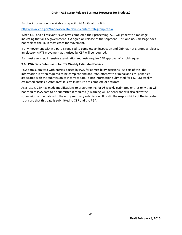Further information is available on specific PGAs IGs at this link.

#### <http://www.cbp.gov/trade/ace/catair#field-content-tab-group-tab-4>

When CBP and all relevant PGAs have completed their processing, ACE will generate a message indicating that all US government PGA agree on release of the shipment. This one USG message does not replace the 1C in most cases for movement.

If any movement within a port is required to complete an inspection and CBP has not granted a release, an electronic PTT movement authorized by CBP will be required.

For most agencies, intensive examination requests require CBP approval of a hold request.

#### <span id="page-44-0"></span>**9.6. PGA Data Submission for FTZ Weekly Estimated Entries**

PGA data submitted with entries is used by PGA for admissibility decisions. As part of this, the information is often required to be complete and accurate, often with criminal and civil penalties associated with the submission of incorrect data. Since information submitted for FTZ (06) weekly estimated entries is *estimated*, it is by its nature not complete or accurate.

As a result, CBP has made modifications to programming for 06 weekly estimated entries only that will not require PGA data to be submitted if required (a warning will be sent) and will also allow the submission of the data with the entry summary submission. It is still the responsibility of the importer to ensure that this data is submitted to CBP and the PGA.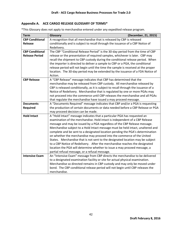## <span id="page-45-0"></span>**Appendix A. ACE CARGO RELEASE GLOSSARY OF TERMS\***

| <b>Term</b>            | (December, 21, 2015)<br>Glossary                                                                                                                |
|------------------------|-------------------------------------------------------------------------------------------------------------------------------------------------|
| <b>CBP Conditional</b> | A recognition that all merchandise that is released by CBP is released                                                                          |
| <b>Release</b>         | conditionally and is subject to recall through the issuance of a CBP Notice of                                                                  |
|                        | Redelivery.                                                                                                                                     |
| <b>CBP Conditional</b> | The CBP "Conditional Release Period" is the 30-day period from the time of CBP                                                                  |
| <b>Release Period</b>  | release or the presentation of required samples, whichever is later. CBP may                                                                    |
|                        | recall the shipment to CBP custody during the conditional release period. When                                                                  |
|                        | the importer is directed to deliver a sample to CBP or a PGA, the conditional                                                                   |
|                        | release period will not begin until the time the sample is received at the proper                                                               |
|                        | location. The 30-day period may be extended by the issuance of a FDA Notice of                                                                  |
| <b>CBP Release</b>     | Action.                                                                                                                                         |
|                        | A "CBP Release" message indicates that CBP has determined that the<br>merchandise may be released from CBP custody. All merchandise released by |
|                        | CBP is released conditionally, as it is subject to recall through the issuance of a                                                             |
|                        | Notice of Redelivery. Merchandise that is regulated by one or more PGAs may                                                                     |
|                        | not proceed into the commerce until CBP releases the merchandise and all PGAs                                                                   |
|                        | that regulate the merchandise have issued a may proceed message.                                                                                |
| <b>Documents</b>       | A "Documents Required" message indicates that CBP and/or a PGA is requesting                                                                    |
| <b>Required</b>        | the production of certain documents or data needed before a CBP Release or PGA                                                                  |
|                        | may proceed decision can be made.                                                                                                               |
| <b>Hold Intact</b>     | A "Hold Intact" message indicates that a particular PGA has requested an                                                                        |
|                        | examination of the merchandise. Hold intact is independent of a CBP Release                                                                     |
|                        | message and may be issued by a PGA regardless of the CBP Release message.                                                                       |
|                        | Merchandise subject to a Hold Intact message must be held intact, unaltered and                                                                 |
|                        | complete and be sent to a designated location pending the PGA's determination                                                                   |
|                        | on whether the merchandise may proceed into the commerce of the United                                                                          |
|                        | States. Merchandise that is not sent to the designated location may be subject                                                                  |
|                        | to a CBP Notice of Redelivery. After the merchandise reaches the designated                                                                     |
|                        | location the PGA will determine whether to issue a may proceed message, a                                                                       |
| <b>Intensive Exam</b>  | partial refusal message, or a refusal message.<br>An "Intensive Exam" message from CBP directs the merchandise to be delivered                  |
|                        | to a designated examination facility or site for actual physical examination.                                                                   |
|                        | Merchandise so directed remains in CBP custody and may only be moved under                                                                      |
|                        | bond. The CBP conditional release period will not begin until CBP releases the                                                                  |
|                        | merchandise.                                                                                                                                    |

\*This Glossary does not apply to merchandise entered under any expedited release program.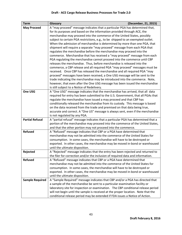## **Draft - ACE Cargo Release Business Processes for Trade 2.0**

| <b>Term</b>            | (December, 21, 2015)<br>Glossary                                                                                                                   |
|------------------------|----------------------------------------------------------------------------------------------------------------------------------------------------|
| <b>May Proceed</b>     | A "may proceed" message indicates that a particular PGA has determined that,                                                                       |
|                        | for its purposes and based on the information provided through ACE, the                                                                            |
|                        | merchandise may proceed into the commerce of the United States, possibly                                                                           |
|                        | subject to certain PGA restrictions, e.g., to be shipped to an exempted outlet.                                                                    |
|                        | When the admission of merchandise is determined by more than one PGA, that                                                                         |
|                        | shipment will require a separate "may proceed" message from each PGA that                                                                          |
|                        | regulates the merchandise before the merchandise may proceed into the                                                                              |
|                        | commerce. Merchandise that has received a "may proceed" message from each                                                                          |
|                        | PGA regulating the merchandise cannot proceed into the commerce until CBP                                                                          |
|                        | releases the merchandise. Thus, before merchandise is released into the                                                                            |
|                        | commerce, a CBP release and all required PGA "may proceed" messages must be                                                                        |
|                        | received. Once CBP has released the merchandise and all required PGA "may                                                                          |
|                        | proceed" messages have been received, a One USG message will be sent to the                                                                        |
|                        | trade indicating the merchandise may be introduced into the commerce. Note,                                                                        |
|                        | however, that even after the One USG message has been issued the merchandise                                                                       |
|                        | is still subject to a Notice of Redelivery.                                                                                                        |
| One USG                | A "One USG" message indicates that the merchandise has arrived, that all data                                                                      |
|                        | required for entry has been submitted to the U.S. Government, that all PGAs that                                                                   |
|                        | regulate the merchandise have issued a may proceed and that CBP has                                                                                |
|                        | conditionally released the merchandise from its custody. This message is based                                                                     |
|                        | on the data received from the trade and premised on that data being true,                                                                          |
|                        | accurate and correct. A "One US" message is always sent, even if the merchandise                                                                   |
|                        | is not regulated by any PGA.                                                                                                                       |
| <b>Partial Refusal</b> | A "partial refusal" message indicates that a particular PGA has determined that a                                                                  |
|                        | portion of the merchandise may proceed into the commerce of the United States,                                                                     |
|                        | and that the other portion may not proceed into the commerce.                                                                                      |
| <b>Refused</b>         | A "Refused" message indicates that CBP or a PGA have determined that                                                                               |
|                        | merchandise may not be admitted into the commerce of the United States for                                                                         |
|                        | consumption. In some cases, the merchandise will have to be destroyed or                                                                           |
|                        | exported. In other cases, the merchandise may be moved in-bond or warehoused                                                                       |
|                        | until the ultimate disposition.                                                                                                                    |
| Rejected               | A "Rejected" message indicates that the entry has been rejected and returned to                                                                    |
|                        | the filer for correction and/or the inclusion of required data and information.                                                                    |
| <b>Refused</b>         | A "Refused" message indicates that CBP or a PGA have determined that<br>merchandise may not be admitted into the commerce of the United States for |
|                        | consumption. In some cases, the merchandise will have to be destroyed or                                                                           |
|                        | exported. In other cases, the merchandise may be moved in-bond or warehoused                                                                       |
|                        | until the ultimate disposition.                                                                                                                    |
| <b>Sample Required</b> | A "Sample Required" message indicates that CBP and/or a PGA has directed that                                                                      |
|                        | a sample of the merchandise be sent to a particular examination facility or                                                                        |
|                        | laboratory site for inspection or examination. The CBP conditional release period                                                                  |
|                        | will not begin until the sample is received at the proper location. Note that the                                                                  |
|                        | conditional release period may be extended if FDA issues a Notice of Action.                                                                       |